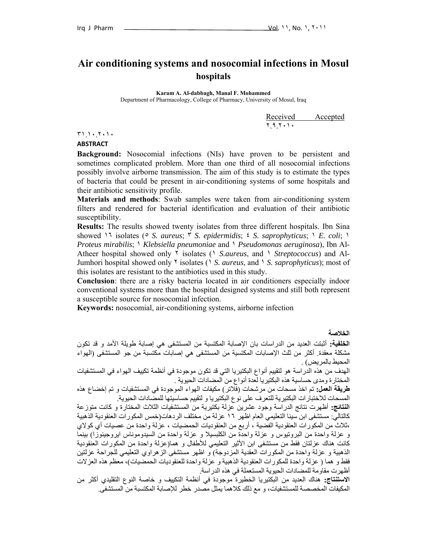# **Air conditioning systems and nosocomial infections in Mosul hospitals**

**Karam A. Al-dabbagh, Manal F. Mohammed** 

Department of Pharmacology, College of Pharmacy, University of Mosul, Iraq

Received Accepted ٢.٩.٢٠١٠

٣١.١٠.٢٠١٠

#### **ABSTRACT**

**Background:** Nosocomial infections (NIs) have proven to be persistent and sometimes complicated problem. More than one third of all nosocomial infections possibly involve airborne transmission. The aim of this study is to estimate the types of bacteria that could be present in air-conditioning systems of some hospitals and their antibiotic sensitivity profile.

**Materials and methods**: Swab samples were taken from air-conditioning system filters and rendered for bacterial identification and evaluation of their antibiotic susceptibility.

**Results:** The results showed twenty isolates from three different hospitals. Ibn Sina showed ١٦ isolates (٥ *S. aureus*; ٣ *S. epidermidis*; ٤ *S. saprophyticus*; ١ *E. coli*; ١ *Proteus mirabilis*; ١ *Klebsiella pneumoniae* and ١ *Pseudomonas aeruginosa*), Ibn Al-Atheer hospital showed only ٢ isolates (١ *S.aureus*, and ١ *Streptococcus*) and Al-Jumhori hospital showed only ٢ isolates (١ *S. aureus*, and ١ *S. saprophyticus*); most of this isolates are resistant to the antibiotics used in this study.

**Conclusion**: there are a risky bacteria located in air conditioners especially indoor conventional systems more than the hospital designed systems and still both represent a susceptible source for nosocomial infection.

**Keywords:** nosocomial, air-conditioning systems, airborne infection

**الخلاصة** 

**الخلفية:** أثبتت العديد من الدراسات بان الإصابة المكتسبة من المستشفى هي إصابة طويلة الأمد و قد تكون مشكلة معقدة. أآثر من ثلث الإصابات المكتسية من المستشفى هي إصابات مكتسبة من جو المستشفى (الهواء المحيط بالمريض) .

الهدف من هذه الدراسة هو لتقييم أنواع البكتيريا التي قد تكون موجودة في أنظمة تكييف الهواء في المستشفيات المختارة ومدى حساسية هذه البكتيريا لعدة أنواع من المضادات الحيوية .

**طريقة العمل:** تم اخذ مسحات من مرشحات (فلاتر) مكيفات الهواء الموجودة في المستشفيات و تم إخضاع هذه المسحات للاختبارات البكتيرية للتعرف على نوع البكتيريا و لتقييم حساسيتها للمضادات الحيوية.

**النتائج:** أظهرت نتائج الدراسة وجود عشرين عزلة بكتيرية من المستشفيات الثلاث المختارة و آانت متوزعة كالتالي: مستشفى ابن سينا التعليمي العام اظهر ١٦ عزلة من مختلف الردهات(خمس المكورات العنقودية الذهبية ،ثلاث من المكورات العنقودية الفضية ، أربع من العنقوديات الحمضيات ، عزلة واحدة من عصيات أي كولاي و عزلة واحدة من البروتيوس و عزلة واحدة من الكلبسيلا و عزلة واحدة من السيدوموناس ايروجينوزا) بينما آانت هناك عزلتان فقط من مستشفى ابن الأثير التعليمي للأطفال و هما(عزلة واحدة من المكورات العنقودية الذهبية و عزلة واحدة من المكورات العقدية المزدوجة) و اظهر مستشفى الزهراوي التعليمي للجراحة عزلتين فقط و هما ( عزلة واحدة للمكورات العنقودية الذهبية و عزلة واحدة للعنقوديات الحمضيات)، معظم هذه العزلات أظهرت مقاومة للمضادات الحيوية المستعملة في هذه الدراسة.

**الاستنتاج:** هناك العديد من البكتيريا الخطيرة موجودة في أنظمة التكييف و خاصة النوع التقليدي أآثر من المكيفات المخصصة للمستشفيات، و مع ذلك كلاهما يمثل مصدر خطر للإصابة المكتسبة من المستشفى.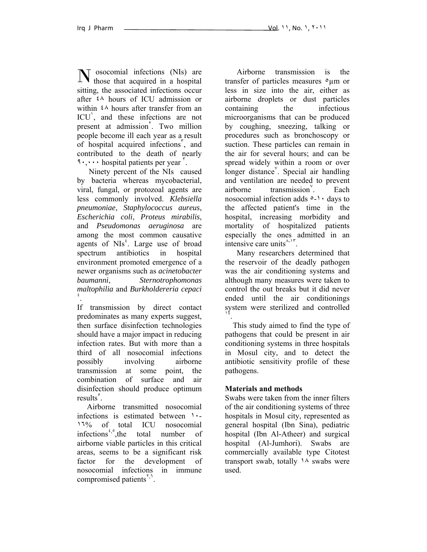osocomial infections (NIs) are **N** osocomial infections (NIs) are those that acquired in a hospital sitting, the associated infections occur after ٤٨ hours of ICU admission or within  $\frac{2}{\lambda}$  hours after transfer from an ICU<sup>'</sup>, and these infections are not present at admission<sup>'</sup>. Two million people become ill each year as a result of hospital acquired infections<sup>r</sup>, and contributed to the death of nearly <sup>9</sup> · , · · · hospital patients per year <sup>"</sup>.

 Ninety percent of the NIs caused by bacteria whereas mycobacterial, viral, fungal, or protozoal agents are less commonly involved. *Klebsiella pneumoniae*, *Staphylococcus aureus*, *Escherichia coli*, *Proteus mirabilis*, and *Pseudomonas aeruginosa* are among the most common causative agents of NIs<sup>t</sup>. Large use of broad spectrum antibiotics in hospital environment promoted emergence of a newer organisms such as *acinetobacter baumanni*, *Sternotrophomonas*   $m$ altophilia and *Burkholdereria cepaci* .

If transmission by direct contact predominates as many experts suggest, then surface disinfection technologies should have a major impact in reducing infection rates. But with more than a third of all nosocomial infections possibly involving airborne transmission at some point, the combination of surface and air disinfection should produce optimum results<sup>°</sup>.

 Airborne transmitted nosocomial infections is estimated between ١٠- ١٦% of total ICU nosocomial infections<sup>*t*,</sup><sup>*\**</sup>,the total number of airborne viable particles in this critical areas, seems to be a significant risk factor for the development of nosocomial infections in immune compromised patients<sup> $\zeta$ , $\zeta$ .</sup>

Airborne transmission is the transfer of particles measures  $\circ \mu$ m or less in size into the air, either as airborne droplets or dust particles containing the infectious microorganisms that can be produced by coughing, sneezing, talking or procedures such as bronchoscopy or suction. These particles can remain in the air for several hours; and can be spread widely within a room or over longer distance<sup>Y</sup>. Special air handling and ventilation are needed to prevent airborne transmission<sup>®</sup> . Each nosocomial infection adds  $\circ$ -1 · days to the affected patient's time in the hospital, increasing morbidity and mortality of hospitalized patients especially the ones admitted in an intensive care units<sup> $\lambda$ -17</sup>.

Many researchers determined that the reservoir of the deadly pathogen was the air conditioning systems and although many measures were taken to control the out breaks but it did never ended until the air conditionings system were sterilized and controlled <sup>١٤</sup>.

 This study aimed to find the type of pathogens that could be present in air conditioning systems in three hospitals in Mosul city, and to detect the antibiotic sensitivity profile of these pathogens.

## **Materials and methods**

Swabs were taken from the inner filters of the air conditioning systems of three hospitals in Mosul city, represented as general hospital (Ibn Sina), pediatric hospital (Ibn Al-Atheer) and surgical hospital (Al-Jumhori). Swabs are commercially available type Citotest transport swab, totally  $\lambda$  swabs were used.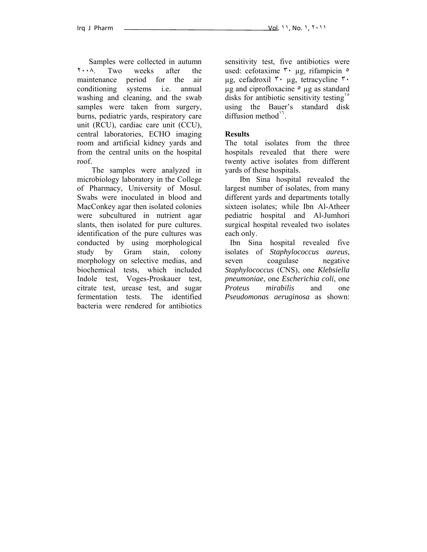Samples were collected in autumn ٢٠٠٨. Two weeks after the maintenance period for the air conditioning systems i.e. annual washing and cleaning, and the swab samples were taken from surgery, burns, pediatric yards, respiratory care unit (RCU), cardiac care unit (CCU), central laboratories, ECHO imaging room and artificial kidney yards and from the central units on the hospital roof.

The samples were analyzed in microbiology laboratory in the College of Pharmacy, University of Mosul. Swabs were inoculated in blood and MacConkey agar then isolated colonies were subcultured in nutrient agar slants, then isolated for pure cultures. identification of the pure cultures was conducted by using morphological study by Gram stain, colony morphology on selective medias, and biochemical tests, which included Indole test, Voges-Proskauer test, citrate test, urease test, and sugar fermentation tests. The identified bacteria were rendered for antibiotics sensitivity test, five antibiotics were used: cefotaxime <sup>γ</sup> μg, rifampicin <sup>o</sup> µg, cefadroxil ٣٠ µg, tetracycline ٣٠  $\mu$ g and ciprofloxacine  $\circ$   $\mu$ g as standard disks for antibiotic sensitivity testing<sup>1</sup> using the Bauer's standard disk diffusion method $^1$ .

#### **Results**

The total isolates from the three hospitals revealed that there were twenty active isolates from different yards of these hospitals.

Ibn Sina hospital revealed the largest number of isolates, from many different yards and departments totally sixteen isolates; while Ibn Al-Atheer pediatric hospital and Al-Jumhori surgical hospital revealed two isolates each only.

 Ibn Sina hospital revealed five isolates of *Staphylococcus aureus*, seven coagulase negative *Staphylococcus* (CNS), one *Klebsiella pneumoniae*, one *Escherichia coli*, one *Proteus mirabilis* and one *Pseudomonas aeruginosa* as shown: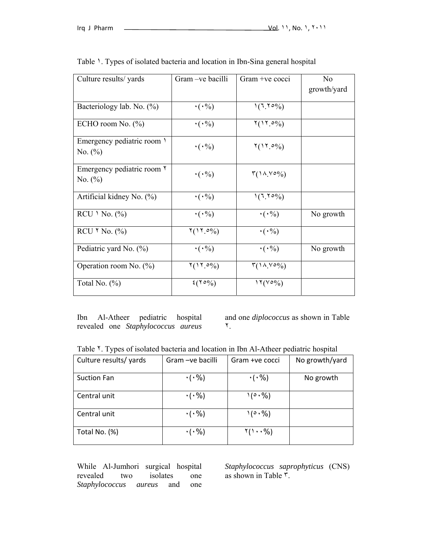| Culture results/ yards     | Gram -ve bacilli                               | Gram +ve cocci                         | N <sub>0</sub><br>growth/yard |
|----------------------------|------------------------------------------------|----------------------------------------|-------------------------------|
| Bacteriology lab. No. (%)  | $\cdot$ ( $\cdot\%$ )                          | $(7.70\%)$                             |                               |
|                            |                                                |                                        |                               |
| ECHO room No. $(\% )$      | $\cdot (\cdot \%)$                             | $Y(11.0\%)$                            |                               |
| Emergency pediatric room \ | $\cdot (\cdot \%)$                             | $Y(17.0\%)$                            |                               |
| No. $(\% )$                |                                                |                                        |                               |
| Emergency pediatric room Y | $\cdot (\cdot \%)$                             | $\Gamma(\lambda, V \circ \%)$          |                               |
| No. $(\%)$                 |                                                |                                        |                               |
| Artificial kidney No. (%)  | $\cdot (\cdot \frac{9}{0})$                    | $(7.70\%)$                             |                               |
| $RCU \setminus No.$ (%)    | $\cdot (\cdot \%)$                             | $\cdot (\cdot \%)$                     | No growth                     |
| RCU $\sqrt{N}$ No. (%)     | $Y(11.0\%)$                                    | $\cdot (\cdot \%)$                     |                               |
| Pediatric yard No. (%)     | $\cdot (\cdot \%)$                             | $\cdot (\cdot \%)$                     | No growth                     |
| Operation room No. $(\%)$  | $Y(17.0\%)$                                    | $\Gamma(\lambda \wedge \vee \circ \%)$ |                               |
| Total No. $(\%)$           | $\mathfrak{t}(\mathfrak{r}\circ\mathcal{Y}_0)$ | $\binom{15(00/6)}{1}$                  |                               |

Table 1. Types of isolated bacteria and location in Ibn-Sina general hospital

Ibn Al-Atheer pediatric hospital revealed one *Staphylococcus aureus* and one *diplococcus* as shown in Table ٢.

Table <sup>Y</sup>. Types of isolated bacteria and location in Ibn Al-Atheer pediatric hospital

| Culture results/ yards | Gram - ve bacilli    | Gram +ve cocci                | No growth/yard |
|------------------------|----------------------|-------------------------------|----------------|
| <b>Suction Fan</b>     | $\cdot$ ( $\cdot$ %) | $\cdot$ ( $\cdot$ %)          | No growth      |
| Central unit           | $\cdot$ ( $\cdot$ %) | $\sqrt{2} \cdot \frac{9}{6}$  |                |
| Central unit           | $\cdot$ ( $\cdot$ %) | 1(0.96)                       |                |
| Total No. (%)          | $\cdot$ ( $\cdot$ %) | $\mathcal{Y}(1\cdot\cdot\% )$ |                |

While Al-Jumhori surgical hospital revealed two isolates one *Staphylococcus aureus* and one *Staphylococcus saprophyticus* (CNS) as shown in Table ٣.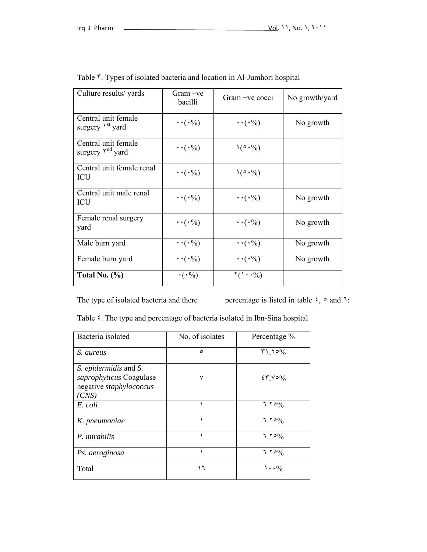| Culture results/ yards                              | Gram – ve<br>bacilli            | Gram +ve cocci                           | No growth/yard |
|-----------------------------------------------------|---------------------------------|------------------------------------------|----------------|
| Central unit female<br>surgery \ <sup>st</sup> yard | $\cdots$ ( $\cdot\%$ )          | $\cdots$ ( $\cdot\%$ )                   | No growth      |
| Central unit female<br>surgery Y <sup>nd</sup> yard | $\cdots$ ( $\cdot\%$ )          | $\mathcal{N}(\circ \cdot \mathcal{Y}_0)$ |                |
| Central unit female renal<br>ICU                    | $\cdots$ ( $\cdot\frac{0}{0}$ ) | $\left(0.9/6\right)$                     |                |
| Central unit male renal<br>ICU                      | $\cdots$ ( $\cdot\%$ )          | $\cdots$ ( $\cdot\%$ )                   | No growth      |
| Female renal surgery<br>yard                        | $\cdots$ ( $\cdot\frac{9}{0}$ ) | $\cdots$ ( $\cdot\%$ )                   | No growth      |
| Male burn yard                                      | $\cdots$ ( $\cdot\%$ )          | $\cdots$ ( $\cdot\%$ )                   | No growth      |
| Female burn yard                                    | $\cdots$ ( $\cdot\%$ )          | $\cdots$ ( $\cdot\%$ )                   | No growth      |
| Total No. $(\% )$                                   | $\cdot$ ( $\cdot\%$ )           | $\mathcal{Y}(1\cdot\cdot\mathcal{Y}_0)$  |                |

| Table <sup>r</sup> . Types of isolated bacteria and location in Al-Jumhori hospital |  |  |  |  |  |  |  |  |
|-------------------------------------------------------------------------------------|--|--|--|--|--|--|--|--|
|-------------------------------------------------------------------------------------|--|--|--|--|--|--|--|--|

The type of isolated bacteria and there percentage is listed in table  $\zeta$ ,  $\circ$  and  $\zeta$ :

Table ٤. The type and percentage of bacteria isolated in Ibn-Sina hospital

| Bacteria isolated                                                                    | No. of isolates | Percentage %                           |
|--------------------------------------------------------------------------------------|-----------------|----------------------------------------|
| S. aureus                                                                            | $\circ$         | $\mathsf{r}\setminus\mathsf{r}\circ\%$ |
| S. epidermidis and S.<br>saprophyticus Coagulase<br>negative staphylococcus<br>(CNS) | ٧               | $25 \times 00$                         |
| E. coli                                                                              |                 | $7.70\%$                               |
| K. pneumoniae                                                                        |                 | $7.70\%$                               |
| P. mirabilis                                                                         |                 | $7.70\%$                               |
| Ps. aeroginosa                                                                       |                 | $7.70\%$                               |
| Total                                                                                | ۲ ۱             | $\cdot \cdot \frac{6}{6}$              |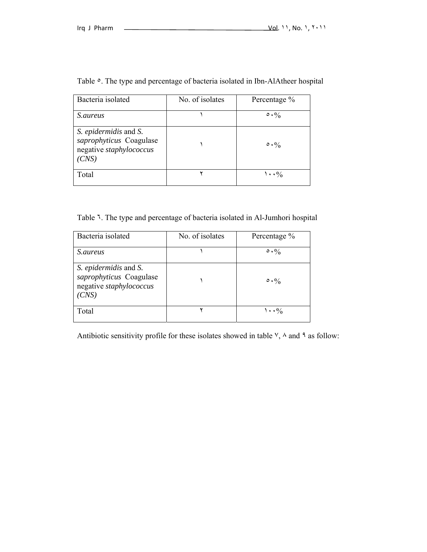| Bacteria isolated                                                                    | No. of isolates | Percentage %              |
|--------------------------------------------------------------------------------------|-----------------|---------------------------|
| <i>S.aureus</i>                                                                      |                 | $\circ \cdot \%$          |
| S. epidermidis and S.<br>saprophyticus Coagulase<br>negative staphylococcus<br>(CNS) |                 | $\circ \cdot \%$          |
| Total                                                                                |                 | $\cdot \cdot \frac{6}{6}$ |

Table  $\circ$ . The type and percentage of bacteria isolated in Ibn-AlAtheer hospital

Table ٦. The type and percentage of bacteria isolated in Al-Jumhori hospital

| Bacteria isolated                                                                    | No. of isolates | Percentage %     |
|--------------------------------------------------------------------------------------|-----------------|------------------|
| <i>S.aureus</i>                                                                      |                 | $\circ \cdot \%$ |
| S. epidermidis and S.<br>saprophyticus Coagulase<br>negative staphylococcus<br>'CNS) |                 | $\circ \cdot \%$ |
| Total                                                                                |                 | $\cdot \cdot \%$ |

Antibiotic sensitivity profile for these isolates showed in table  $\vee$ ,  $\wedge$  and  $\wedge$  as follow: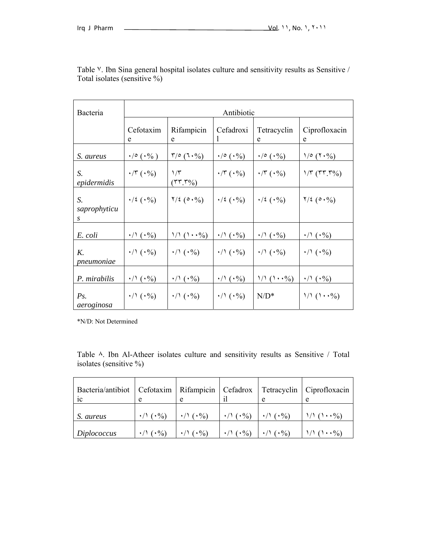| Bacteria                | Antibiotic                             |                                 |                                        |                               |                              |  |  |
|-------------------------|----------------------------------------|---------------------------------|----------------------------------------|-------------------------------|------------------------------|--|--|
|                         | Cefotaxim<br>e                         | Rifampicin<br>e                 | Cefadroxi                              | Tetracyclin<br>e              | Ciprofloxacin<br>e           |  |  |
| S. aureus               | $\cdot$ / $\circ$ $(\cdot\frac{0}{0})$ | $\sqrt{6}$ $(1.9)$              | $\cdot$ / $\circ$ $(\cdot\frac{0}{0})$ | $\cdot$ / $\circ$ $(\cdot\%)$ | 1/e (7.0)                    |  |  |
| S.<br>epidermidis       | $\cdot$ /۳ $(\cdot\%)$                 | $\frac{1}{\tau}$<br>$(TT, T\%)$ | $\cdot$ /۳ $(\cdot\%)$                 | $\cdot$ /۳ ( $\cdot$ %)       | $1/T (TT.T\%)$               |  |  |
| S.<br>saprophyticu<br>S | $\cdot/2$ ( $\cdot\%$ )                | $7/2$ ( $0.9/0$ )               | $\cdot/2$ ( $\cdot\%$ )                | $\cdot/2$ ( $\cdot\%$ )       | $7/2$ ( $0.9/0$ )            |  |  |
| E. coli                 | $\cdot/\gamma$ ( $\cdot\%$ )           | $1/1 (\cdot \cdot \cdot \%)$    | $\cdot/\gamma$ ( $\cdot\%$ )           | $\cdot/\gamma$ ( $\cdot\%$ )  | $\cdot/\wedge(\cdot\%)$      |  |  |
| K.<br>pneumoniae        | $\cdot/\lambda$ ( $\cdot\%$ )          | $\cdot/\gamma$ ( $\cdot\%$ )    | $\cdot/\gamma$ ( $\cdot\%$ )           | $\cdot$ / ( $\cdot$ %)        | $\cdot/\gamma$ ( $\cdot\%$ ) |  |  |
| P. mirabilis            | $\cdot/\gamma$ ( $\cdot\%$ )           | $\cdot$ / $(\cdot\%)$           | $\cdot$ / ( $\cdot$ %)                 | $1/1 (\cdot \cdot \cdot \%)$  | $\cdot/\gamma$ ( $\cdot\%$ ) |  |  |
| Ps.<br>aeroginosa       | $\cdot/\gamma$ ( $\cdot\%$ )           | $\cdot/\gamma$ ( $\cdot\%$ )    | $\cdot/\gamma$ ( $\cdot\%$ )           | $N/D^*$                       | $1/1 (\cdot \cdot \cdot \%)$ |  |  |

Table <sup>V</sup>. Ibn Sina general hospital isolates culture and sensitivity results as Sensitive / Total isolates (sensitive %)

\*N/D: Not Determined

Table ٨. Ibn Al-Atheer isolates culture and sensitivity results as Sensitive / Total isolates (sensitive %)

| Bacteria/antibiot   Cefotaxim   Rifampicin   Cefadrox<br>1 <sup>C</sup> |                          | e                       | 11                     | Tetracyclin              | Ciprofloxacin<br>e                        |
|-------------------------------------------------------------------------|--------------------------|-------------------------|------------------------|--------------------------|-------------------------------------------|
| S. aureus                                                               | $\cdot$ / \ ( $\cdot$ %) |                         | $\cdot$ / ( $\cdot$ %) | $\cdot$ / \ ( $\cdot$ %) | $\langle \cdot \cdot \cdot \cdot \rangle$ |
| Diplococcus                                                             | $(\cdot \frac{9}{0})$    | $( \cdot \frac{0}{0} )$ | $\cdot/(\cdot\%)$      | $(*\%)$                  | $\cdots$ $\frac{9}{0}$                    |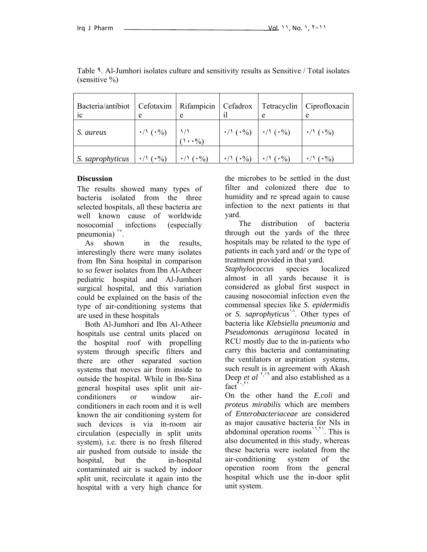| Bacteria/antibiot   Cefotaxim<br>1 <sup>C</sup> |                                            | Rifampicin   Cefadrox | 11                                            |                            | Tetracyclin   Ciprofloxacin<br>e                    |
|-------------------------------------------------|--------------------------------------------|-----------------------|-----------------------------------------------|----------------------------|-----------------------------------------------------|
| S. aureus                                       | $\binom{1}{1}$ (.%) $\binom{1}{1}$<br>(1%) |                       | $\cdot$ / ( $\cdot$ %) $\cdot$ / ( $\cdot$ %) |                            | $\vert \cdot \rangle \setminus (\cdot \frac{9}{6})$ |
| S. saprophyticus                                | $\cdot/(\cdot\%)$                          | $\cdot/(\cdot\%)$     | $\cdot/(\cdot\%)$                             | $\cdot/(\cdot\frac{9}{0})$ | $\cdot/(\cdot\%)$                                   |

Table ٩. Al-Jumhori isolates culture and sensitivity results as Sensitive / Total isolates (sensitive %)

#### **Discussion**

The results showed many types of bacteria isolated from the three selected hospitals, all these bacteria are well known cause of worldwide nosocomial infections (especially pneumonia) "

 As shown in the results, interestingly there were many isolates from Ibn Sina hospital in comparison to so fewer isolates from Ibn Al-Atheer pediatric hospital and Al-Jumhori surgical hospital, and this variation could be explained on the basis of the type of air-conditioning systems that are used in these hospitals

 Both Al-Jumhori and Ibn Al-Atheer hospitals use central units placed on the hospital roof with propelling system through specific filters and there are other separated suction systems that moves air from inside to outside the hospital. While in Ibn-Sina general hospital uses split unit airconditioners or window airconditioners in each room and it is well known the air conditioning system for such devices is via in-room air circulation (especially in split units system), i.e. there is no fresh filtered air pushed from outside to inside the hospital, but the in-hospital contaminated air is sucked by indoor split unit, recirculate it again into the hospital with a very high chance for the microbes to be settled in the dust filter and colonized there due to humidity and re spread again to cause infection to the next patients in that yard.

 The distribution of bacteria through out the yards of the three hospitals may be related to the type of patients in each yard and/ or the type of treatment provided in that yard.

*Staphylococcus* species localized almost in all yards because it is considered as global first suspect in causing nosocomial infection even the commensal species like *S. epidermidis* or *S. saprophyticus*<sup>14</sup>. Other types of bacteria like *Klebsiella pneumonia* and *Pseudomonas aeruginosa* located in RCU mostly due to the in-patients who carry this bacteria and contaminating the ventilators or aspiration systems, such result is in agreement with Akash Deep *et al*  $\binom{1}{2}$  and also established as a  $\text{fact}^{\mathsf{r}}$ 

On the other hand the *E.coli* and *proteus mirabilis* which are members of *Enterobacteriaceae* are considered as major causative bacteria for NIs in abdominal operation rooms<sup> $17,71$ </sup>. This is also documented in this study, whereas these bacteria were isolated from the air-conditioning system of the operation room from the general hospital which use the in-door split unit system.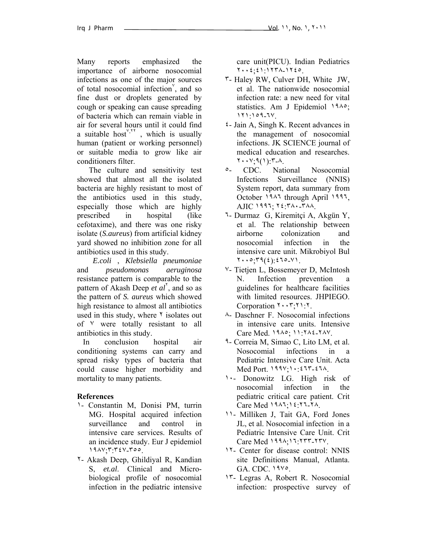Many reports emphasized the importance of airborne nosocomial infections as one of the major sources of total nosocomial infection<sup>'</sup>, and so fine dust or droplets generated by cough or speaking can cause spreading of bacteria which can remain viable in air for several hours until it could find a suitable host<sup> $y_{\text{y}}$ </sup>, which is usually human (patient or working personnel) or suitable media to grow like air conditioners filter.

 The culture and sensitivity test showed that almost all the isolated bacteria are highly resistant to most of the antibiotics used in this study, especially those which are highly prescribed in hospital (like cefotaxime), and there was one risky isolate (*S.aureus*) from artificial kidney yard showed no inhibition zone for all antibiotics used in this study.

 *E.coli* , *Klebsiella pneumoniae* and *pseudomonas aeruginosa* resistance pattern is comparable to the pattern of Akash Deep *et al*<sup>1</sup>, and so as the pattern of *S. aureus* which showed high resistance to almost all antibiotics used in this study, where  $\gamma$  isolates out of ٧ were totally resistant to all antibiotics in this study.

 In conclusion hospital air conditioning systems can carry and spread risky types of bacteria that could cause higher morbidity and mortality to many patients.

## **References**

- ١- Constantin M, Donisi PM, turrin MG. Hospital acquired infection surveillance and control in intensive care services. Results of an incidence study. Eur J epidemiol ١٩٨٧;٣:٣٤٧-٣٥٥.
- ٢- Akash Deep, Ghildiyal R, Kandian S, *et.al*. Clinical and Microbiological profile of nosocomial infection in the pediatric intensive

care unit(PICU). Indian Pediatrics ٢٠٠٤;٤١:١٢٣٨-١٢٤٥.

- ٣- Haley RW, Culver DH, White JW, et al. The nationwide nosocomial infection rate: a new need for vital statistics. Am J Epidemiol ١٩٨٥; ١٢١:١٥٩-٦٧.
- ٤- Jain A, Singh K. Recent advances in the management of nosocomial infections. JK SCIENCE journal of medical education and researches.  $Y \cdot Y$ ;  $9(1)$ :  $7 - A$ .
- ٥- CDC. National Nosocomial Infections Surveillance (NNIS) System report, data summary from October ١٩٨٦ through April ١٩٩٦, AJIC ١٩٩٦; ٢٤:٣٨٠-٣٨٨.
- ٦- Durmaz G, Kiremitçi A, Akgün Y, et al. The relationship between airborne colonization and nosocomial infection in the intensive care unit. Mikrobiyol Bul  $Y \cdot \cdot \circ \cdot Y \cdot (2) \cdot (2) \cdot 2 \cdot 2 \cdot 2 \cdot 1$ .
- ٧- Tietjen L, Bossemeyer D, McIntosh N. Infection prevention a guidelines for healthcare facilities with limited resources. JHPIEGO. Corporation ٢٠٠٣;٢١:٢.
- ٨- Daschner F. Nosocomial infections in intensive care units. Intensive Care Med. ١٩٨٥; ١١:٢٨٤-٢٨٧.
- ٩- Correia M, Simao C, Lito LM, et al. Nosocomial infections in a Pediatric Intensive Care Unit. Acta Med Port. ١٩٩٧;١٠:٤٦٣-٤٦٨.
- ١٠- Donowitz LG. High risk of nosocomial infection in the pediatric critical care patient. Crit Care Med ١٩٨٦;١٤:٢٦-٢٨.
- ١١- Milliken J, Tait GA, Ford Jones JL, et al. Nosocomial infection in a Pediatric Intensive Care Unit. Crit Care Med ١٩٩٨;١٦:٢٣٣-٢٣٧.
- ١٢- Center for disease control: NNIS site Definitions Manual, Atlanta. GA. CDC. ١٩٧٥.
- ١٣- Legras A, Robert R. Nosocomial infection: prospective survey of